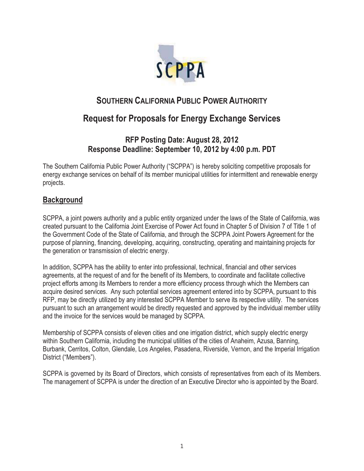

# **SOUTHERN CALIFORNIA PUBLIC POWER AUTHORITY**

# **Request for Proposals for Energy Exchange Services**

# **RFP Posting Date: August 28, 2012 Response Deadline: September 10, 2012 by 4:00 p.m. PDT**

The Southern California Public Power Authority ("SCPPA") is hereby soliciting competitive proposals for energy exchange services on behalf of its member municipal utilities for intermittent and renewable energy projects.

# **Background**

SCPPA, a joint powers authority and a public entity organized under the laws of the State of California, was created pursuant to the California Joint Exercise of Power Act found in Chapter 5 of Division 7 of Title 1 of the Government Code of the State of California, and through the SCPPA Joint Powers Agreement for the purpose of planning, financing, developing, acquiring, constructing, operating and maintaining projects for the generation or transmission of electric energy.

In addition, SCPPA has the ability to enter into professional, technical, financial and other services agreements, at the request of and for the benefit of its Members, to coordinate and facilitate collective project efforts among its Members to render a more efficiency process through which the Members can acquire desired services. Any such potential services agreement entered into by SCPPA, pursuant to this RFP, may be directly utilized by any interested SCPPA Member to serve its respective utility. The services pursuant to such an arrangement would be directly requested and approved by the individual member utility and the invoice for the services would be managed by SCPPA.

Membership of SCPPA consists of eleven cities and one irrigation district, which supply electric energy within Southern California, including the municipal utilities of the cities of Anaheim, Azusa, Banning, Burbank, Cerritos, Colton, Glendale, Los Angeles, Pasadena, Riverside, Vernon, and the Imperial Irrigation District ("Members").

SCPPA is governed by its Board of Directors, which consists of representatives from each of its Members. The management of SCPPA is under the direction of an Executive Director who is appointed by the Board.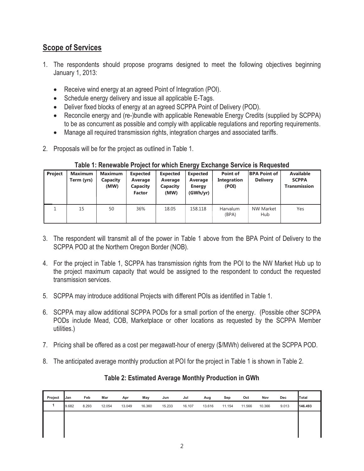# **Scope of Services**

- 1. The respondents should propose programs designed to meet the following objectives beginning January 1, 2013:
	- Receive wind energy at an agreed Point of Integration (POI).
	- Schedule energy delivery and issue all applicable E-Tags.
	- Deliver fixed blocks of energy at an agreed SCPPA Point of Delivery (POD).
	- Reconcile energy and (re-)bundle with applicable Renewable Energy Credits (supplied by SCPPA) to be as concurrent as possible and comply with applicable regulations and reporting requirements.
	- Manage all required transmission rights, integration charges and associated tariffs.
- 2. Proposals will be for the project as outlined in Table 1.

| <b>Project</b> | <b>Maximum</b><br>Term (yrs) | Maximum<br>Capacity<br>(MW) | <b>Expected</b><br>Average<br><b>Capacity</b><br><b>Factor</b> | <b>Expected</b><br>Average<br>Capacity<br>(MW) | <b>Expected</b><br>Average<br><b>Energy</b><br>(GWh/yr) | Point of<br><b>Integration</b><br>(POI) | <b>BPA Point of</b><br><b>Delivery</b> | <b>Available</b><br><b>SCPPA</b><br><b>Transmission</b> |
|----------------|------------------------------|-----------------------------|----------------------------------------------------------------|------------------------------------------------|---------------------------------------------------------|-----------------------------------------|----------------------------------------|---------------------------------------------------------|
|                | 15                           | 50                          | 36%                                                            | 18.05                                          | 158.118                                                 | Harvalum<br>(BPA)                       | <b>NW Market</b><br>Hub                | Yes                                                     |

#### **Table 1: Renewable Project for which Energy Exchange Service is Requested**

- 3. The respondent will transmit all of the power in Table 1 above from the BPA Point of Delivery to the SCPPA POD at the Northern Oregon Border (NOB).
- 4. For the project in Table 1, SCPPA has transmission rights from the POI to the NW Market Hub up to the project maximum capacity that would be assigned to the respondent to conduct the requested transmission services.
- 5. SCPPA may introduce additional Projects with different POIs as identified in Table 1.
- 6. SCPPA may allow additional SCPPA PODs for a small portion of the energy. (Possible other SCPPA PODs include Mead, COB, Marketplace or other locations as requested by the SCPPA Member utilities.)
- 7. Pricing shall be offered as a cost per megawatt-hour of energy (\$/MWh) delivered at the SCPPA POD.
- 8. The anticipated average monthly production at POI for the project in Table 1 is shown in Table 2.

#### **Table 2: Estimated Average Monthly Production in GWh**

| Project | <b>Jan</b> | Feb   | Mar    | Apr    | May    | Jun    | Jul    | Aug    | Sep    | Oct    | Nov    | Dec   | Total   |
|---------|------------|-------|--------|--------|--------|--------|--------|--------|--------|--------|--------|-------|---------|
|         | 9.682      | 8.293 | 12.054 | 13.049 | 16.360 | 15.233 | 16.107 | 13.616 | 11.154 | 11.566 | 10.366 | 9.013 | 146.493 |
|         |            |       |        |        |        |        |        |        |        |        |        |       |         |
|         |            |       |        |        |        |        |        |        |        |        |        |       |         |
|         |            |       |        |        |        |        |        |        |        |        |        |       |         |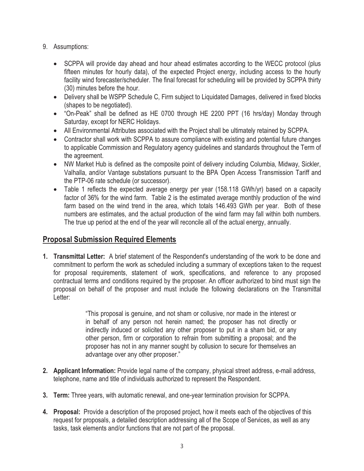- 9. Assumptions:
	- SCPPA will provide day ahead and hour ahead estimates according to the WECC protocol (plus fifteen minutes for hourly data), of the expected Project energy, including access to the hourly facility wind forecaster/scheduler. The final forecast for scheduling will be provided by SCPPA thirty (30) minutes before the hour.
	- Delivery shall be WSPP Schedule C, Firm subject to Liquidated Damages, delivered in fixed blocks (shapes to be negotiated).
	- "On-Peak" shall be defined as HE 0700 through HE 2200 PPT (16 hrs/day) Monday through Saturday, except for NERC Holidays.
	- All Environmental Attributes associated with the Project shall be ultimately retained by SCPPA.
	- Contractor shall work with SCPPA to assure compliance with existing and potential future changes to applicable Commission and Regulatory agency guidelines and standards throughout the Term of the agreement.
	- NW Market Hub is defined as the composite point of delivery including Columbia, Midway, Sickler, Valhalla, and/or Vantage substations pursuant to the BPA Open Access Transmission Tariff and the PTP-06 rate schedule (or successor).
	- Table 1 reflects the expected average energy per year (158.118 GWh/yr) based on a capacity factor of 36% for the wind farm. Table 2 is the estimated average monthly production of the wind farm based on the wind trend in the area, which totals 146.493 GWh per year. Both of these numbers are estimates, and the actual production of the wind farm may fall within both numbers. The true up period at the end of the year will reconcile all of the actual energy, annually.

## **Proposal Submission Required Elements**

**1. Transmittal Letter:** A brief statement of the Respondent's understanding of the work to be done and commitment to perform the work as scheduled including a summary of exceptions taken to the request for proposal requirements, statement of work, specifications, and reference to any proposed contractual terms and conditions required by the proposer. An officer authorized to bind must sign the proposal on behalf of the proposer and must include the following declarations on the Transmittal Letter:

> "This proposal is genuine, and not sham or collusive, nor made in the interest or in behalf of any person not herein named; the proposer has not directly or indirectly induced or solicited any other proposer to put in a sham bid, or any other person, firm or corporation to refrain from submitting a proposal; and the proposer has not in any manner sought by collusion to secure for themselves an advantage over any other proposer."

- **2. Applicant Information:** Provide legal name of the company, physical street address, e-mail address, telephone, name and title of individuals authorized to represent the Respondent.
- **3. Term:** Three years, with automatic renewal, and one-year termination provision for SCPPA.
- **4. Proposal:** Provide a description of the proposed project, how it meets each of the objectives of this request for proposals, a detailed description addressing all of the Scope of Services, as well as any tasks, task elements and/or functions that are not part of the proposal.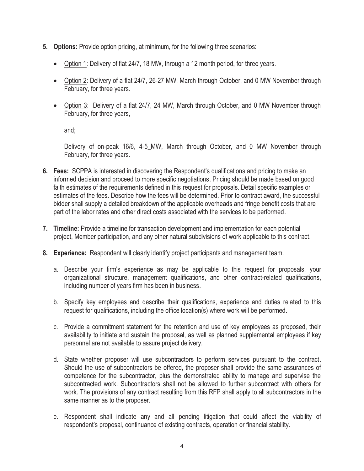- **5. Options:** Provide option pricing, at minimum, for the following three scenarios:
	- Option 1: Delivery of flat 24/7, 18 MW, through a 12 month period, for three years.
	- Option 2: Delivery of a flat 24/7, 26-27 MW, March through October, and 0 MW November through February, for three years.
	- Option 3: Delivery of a flat 24/7, 24 MW, March through October, and 0 MW November through February, for three years,

and;

Delivery of on-peak 16/6, 4-5\_MW, March through October, and 0 MW November through February, for three years.

- **6. Fees:** SCPPA is interested in discovering the Respondent's qualifications and pricing to make an informed decision and proceed to more specific negotiations. Pricing should be made based on good faith estimates of the requirements defined in this request for proposals. Detail specific examples or estimates of the fees. Describe how the fees will be determined. Prior to contract award, the successful bidder shall supply a detailed breakdown of the applicable overheads and fringe benefit costs that are part of the labor rates and other direct costs associated with the services to be performed.
- **7. Timeline:** Provide a timeline for transaction development and implementation for each potential project, Member participation, and any other natural subdivisions of work applicable to this contract.
- **8. Experience:** Respondent will clearly identify project participants and management team.
	- a. Describe your firm's experience as may be applicable to this request for proposals, your organizational structure, management qualifications, and other contract-related qualifications, including number of years firm has been in business.
	- b. Specify key employees and describe their qualifications, experience and duties related to this request for qualifications, including the office location(s) where work will be performed.
	- c. Provide a commitment statement for the retention and use of key employees as proposed, their availability to initiate and sustain the proposal, as well as planned supplemental employees if key personnel are not available to assure project delivery.
	- d. State whether proposer will use subcontractors to perform services pursuant to the contract. Should the use of subcontractors be offered, the proposer shall provide the same assurances of competence for the subcontractor, plus the demonstrated ability to manage and supervise the subcontracted work. Subcontractors shall not be allowed to further subcontract with others for work. The provisions of any contract resulting from this RFP shall apply to all subcontractors in the same manner as to the proposer.
	- e. Respondent shall indicate any and all pending litigation that could affect the viability of respondent's proposal, continuance of existing contracts, operation or financial stability.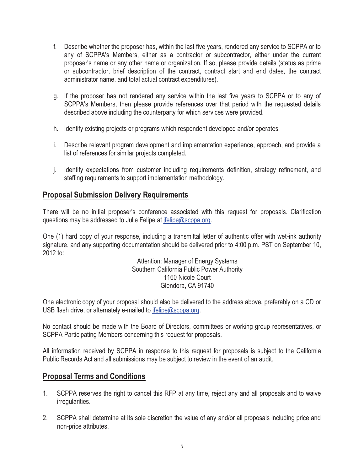- f. Describe whether the proposer has, within the last five years, rendered any service to SCPPA or to any of SCPPA's Members, either as a contractor or subcontractor, either under the current proposer's name or any other name or organization. If so, please provide details (status as prime or subcontractor, brief description of the contract, contract start and end dates, the contract administrator name, and total actual contract expenditures).
- g. If the proposer has not rendered any service within the last five years to SCPPA or to any of SCPPA's Members, then please provide references over that period with the requested details described above including the counterparty for which services were provided.
- h. Identify existing projects or programs which respondent developed and/or operates.
- i. Describe relevant program development and implementation experience, approach, and provide a list of references for similar projects completed.
- j. Identify expectations from customer including requirements definition, strategy refinement, and staffing requirements to support implementation methodology.

### **Proposal Submission Delivery Requirements**

There will be no initial proposer's conference associated with this request for proposals. Clarification questions may be addressed to Julie Felipe at jfelipe@scppa.org.

One (1) hard copy of your response, including a transmittal letter of authentic offer with wet-ink authority signature, and any supporting documentation should be delivered prior to 4:00 p.m. PST on September 10, 2012 to:

> Attention: Manager of Energy Systems Southern California Public Power Authority 1160 Nicole Court Glendora, CA 91740

One electronic copy of your proposal should also be delivered to the address above, preferably on a CD or USB flash drive, or alternately e-mailed to jfelipe@scppa.org.

No contact should be made with the Board of Directors, committees or working group representatives, or SCPPA Participating Members concerning this request for proposals.

All information received by SCPPA in response to this request for proposals is subject to the California Public Records Act and all submissions may be subject to review in the event of an audit.

### **Proposal Terms and Conditions**

- 1. SCPPA reserves the right to cancel this RFP at any time, reject any and all proposals and to waive irregularities.
- 2. SCPPA shall determine at its sole discretion the value of any and/or all proposals including price and non-price attributes.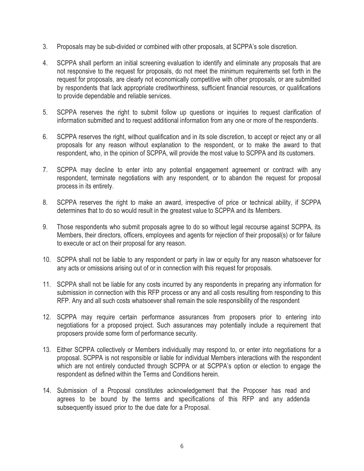- 3. Proposals may be sub-divided or combined with other proposals, at SCPPA's sole discretion.
- 4. SCPPA shall perform an initial screening evaluation to identify and eliminate any proposals that are not responsive to the request for proposals, do not meet the minimum requirements set forth in the request for proposals, are clearly not economically competitive with other proposals, or are submitted by respondents that lack appropriate creditworthiness, sufficient financial resources, or qualifications to provide dependable and reliable services.
- 5. SCPPA reserves the right to submit follow up questions or inquiries to request clarification of information submitted and to request additional information from any one or more of the respondents.
- 6. SCPPA reserves the right, without qualification and in its sole discretion, to accept or reject any or all proposals for any reason without explanation to the respondent, or to make the award to that respondent, who, in the opinion of SCPPA, will provide the most value to SCPPA and its customers.
- 7. SCPPA may decline to enter into any potential engagement agreement or contract with any respondent, terminate negotiations with any respondent, or to abandon the request for proposal process in its entirety.
- 8. SCPPA reserves the right to make an award, irrespective of price or technical ability, if SCPPA determines that to do so would result in the greatest value to SCPPA and its Members.
- 9. Those respondents who submit proposals agree to do so without legal recourse against SCPPA, its Members, their directors, officers, employees and agents for rejection of their proposal(s) or for failure to execute or act on their proposal for any reason.
- 10. SCPPA shall not be liable to any respondent or party in law or equity for any reason whatsoever for any acts or omissions arising out of or in connection with this request for proposals.
- 11. SCPPA shall not be liable for any costs incurred by any respondents in preparing any information for submission in connection with this RFP process or any and all costs resulting from responding to this RFP. Any and all such costs whatsoever shall remain the sole responsibility of the respondent
- 12. SCPPA may require certain performance assurances from proposers prior to entering into negotiations for a proposed project. Such assurances may potentially include a requirement that proposers provide some form of performance security.
- 13. Either SCPPA collectively or Members individually may respond to, or enter into negotiations for a proposal. SCPPA is not responsible or liable for individual Members interactions with the respondent which are not entirely conducted through SCPPA or at SCPPA's option or election to engage the respondent as defined within the Terms and Conditions herein.
- 14. Submission of a Proposal constitutes acknowledgement that the Proposer has read and agrees to be bound by the terms and specifications of this RFP and any addenda subsequently issued prior to the due date for a Proposal.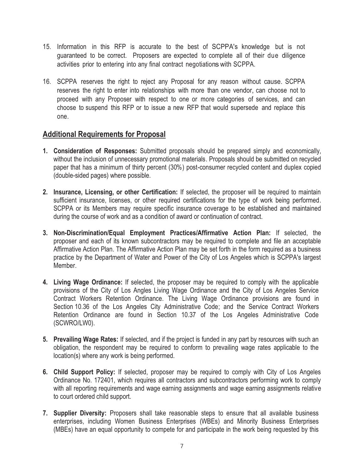- 15. Information in this RFP is accurate to the best of SCPPA's knowledge but is not guaranteed to be correct. Proposers are expected to complete all of their due diligence activities prior to entering into any final contract negotiations with SCPPA.
- 16. SCPPA reserves the right to reject any Proposal for any reason without cause. SCPPA reserves the right to enter into relationships with more than one vendor, can choose not to proceed with any Proposer with respect to one or more categories of services, and can choose to suspend this RFP or to issue a new RFP that would supersede and replace this one.

## **Additional Requirements for Proposal**

- **1. Consideration of Responses:** Submitted proposals should be prepared simply and economically, without the inclusion of unnecessary promotional materials. Proposals should be submitted on recycled paper that has a minimum of thirty percent (30%) post-consumer recycled content and duplex copied (double-sided pages) where possible.
- **2. Insurance, Licensing, or other Certification:** If selected, the proposer will be required to maintain sufficient insurance, licenses, or other required certifications for the type of work being performed. SCPPA or its Members may require specific insurance coverage to be established and maintained during the course of work and as a condition of award or continuation of contract.
- **3. Non-Discrimination/Equal Employment Practices/Affirmative Action Plan:** If selected, the proposer and each of its known subcontractors may be required to complete and file an acceptable Affirmative Action Plan. The Affirmative Action Plan may be set forth in the form required as a business practice by the Department of Water and Power of the City of Los Angeles which is SCPPA's largest Member.
- **4. Living Wage Ordinance:** If selected, the proposer may be required to comply with the applicable provisions of the City of Los Angles Living Wage Ordinance and the City of Los Angeles Service Contract Workers Retention Ordinance. The Living Wage Ordinance provisions are found in Section 10.36 of the Los Angeles City Administrative Code; and the Service Contract Workers Retention Ordinance are found in Section 10.37 of the Los Angeles Administrative Code (SCWRO/LW0).
- **5. Prevailing Wage Rates:** If selected, and if the project is funded in any part by resources with such an obligation, the respondent may be required to conform to prevailing wage rates applicable to the location(s) where any work is being performed.
- **6. Child Support Policy:** If selected, proposer may be required to comply with City of Los Angeles Ordinance No. 172401, which requires all contractors and subcontractors performing work to comply with all reporting requirements and wage earning assignments and wage earning assignments relative to court ordered child support.
- **7. Supplier Diversity:** Proposers shall take reasonable steps to ensure that all available business enterprises, including Women Business Enterprises (WBEs) and Minority Business Enterprises (MBEs) have an equal opportunity to compete for and participate in the work being requested by this